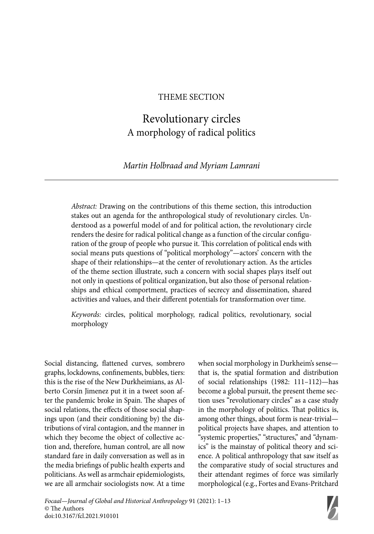## THEME SECTION

# Revolutionary circles A morphology of radical politics

# *Martin Holbraad and Myriam Lamrani*

*Abstract:* Drawing on the contributions of this theme section, this introduction stakes out an agenda for the anthropological study of revolutionary circles. Understood as a powerful model of and for political action, the revolutionary circle renders the desire for radical political change as a function of the circular configuration of the group of people who pursue it. This correlation of political ends with social means puts questions of "political morphology"—actors' concern with the shape of their relationships—at the center of revolutionary action. As the articles of the theme section illustrate, such a concern with social shapes plays itself out not only in questions of political organization, but also those of personal relationships and ethical comportment, practices of secrecy and dissemination, shared activities and values, and their different potentials for transformation over time.

*Keywords:* circles, political morphology, radical politics, revolutionary, social morphology

Social distancing, flattened curves, sombrero graphs, lockdowns, confinements, bubbles, tiers: this is the rise of the New Durkheimians, as Alberto Corsín Jimenez put it in a tweet soon after the pandemic broke in Spain. The shapes of social relations, the effects of those social shapings upon (and their conditioning by) the distributions of viral contagion, and the manner in which they become the object of collective action and, therefore, human control, are all now standard fare in daily conversation as well as in the media briefings of public health experts and politicians. As well as armchair epidemiologists, we are all armchair sociologists now. At a time when social morphology in Durkheim's sense that is, the spatial formation and distribution of social relationships (1982: 111–112)—has become a global pursuit, the present theme section uses "revolutionary circles" as a case study in the morphology of politics. That politics is, among other things, about form is near-trivial political projects have shapes, and attention to "systemic properties," "structures," and "dynamics" is the mainstay of political theory and science. A political anthropology that saw itself as the comparative study of social structures and their attendant regimes of force was similarly morphological (e.g., Fortes and Evans-Pritchard

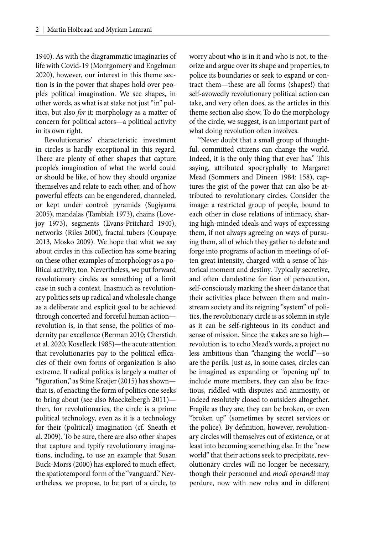1940). As with the diagrammatic imaginaries of life with Covid-19 (Montgomery and Engelman 2020), however, our interest in this theme section is in the power that shapes hold over people's political imagination. We see shapes, in other words, as what is at stake not just "in" politics, but also *for* it: morphology as a matter of concern for political actors—a political activity in its own right.

Revolutionaries' characteristic investment in circles is hardly exceptional in this regard. There are plenty of other shapes that capture people's imagination of what the world could or should be like, of how they should organize themselves and relate to each other, and of how powerful effects can be engendered, channeled, or kept under control: pyramids (Sugiyama 2005), mandalas (Tambiah 1973), chains (Lovejoy 1973), segments (Evans-Pritchard 1940), networks (Riles 2000), fractal tubers (Coupaye 2013, Mosko 2009). We hope that what we say about circles in this collection has some bearing on these other examples of morphology as a political activity, too. Nevertheless, we put forward revolutionary circles as something of a limit case in such a context. Inasmuch as revolutionary politics sets up radical and wholesale change as a deliberate and explicit goal to be achieved through concerted and forceful human action revolution is, in that sense, the politics of modernity par excellence (Berman 2010; Cherstich et al. 2020; Koselleck 1985)—the acute attention that revolutionaries pay to the political efficacies of their own forms of organization is also extreme. If radical politics is largely a matter of "figuration," as Stine Krøijer (2015) has shown that is, of enacting the form of politics one seeks to bring about (see also Maeckelbergh 2011) then, for revolutionaries, the circle is a prime political technology, even as it is a technology for their (political) imagination (cf. Sneath et al. 2009). To be sure, there are also other shapes that capture and typify revolutionary imaginations, including, to use an example that Susan Buck-Morss (2000) has explored to much effect, the spatiotemporal form of the "vanguard." Nevertheless, we propose, to be part of a circle, to

worry about who is in it and who is not, to theorize and argue over its shape and properties, to police its boundaries or seek to expand or contract them—these are all forms (shapes!) that self-avowedly revolutionary political action can take, and very often does, as the articles in this theme section also show. To do the morphology of the circle, we suggest, is an important part of what doing revolution often involves.

"Never doubt that a small group of thoughtful, committed citizens can change the world. Indeed, it is the only thing that ever has." This saying, attributed apocryphally to Margaret Mead (Sommers and Dineen 1984: 158), captures the gist of the power that can also be attributed to revolutionary circles. Consider the image: a restricted group of people, bound to each other in close relations of intimacy, sharing high-minded ideals and ways of expressing them, if not always agreeing on ways of pursuing them, all of which they gather to debate and forge into programs of action in meetings of often great intensity, charged with a sense of historical moment and destiny. Typically secretive, and often clandestine for fear of persecution, self-consciously marking the sheer distance that their activities place between them and mainstream society and its reigning "system" of politics, the revolutionary circle is as solemn in style as it can be self-righteous in its conduct and sense of mission. Since the stakes are so high revolution is, to echo Mead's words, a project no less ambitious than "changing the world"—so are the perils. Just as, in some cases, circles can be imagined as expanding or "opening up" to include more members, they can also be fractious, riddled with disputes and animosity, or indeed resolutely closed to outsiders altogether. Fragile as they are, they can be broken, or even "broken up" (sometimes by secret services or the police). By definition, however, revolutionary circles will themselves out of existence, or at least into becoming something else. In the "new world" that their actions seek to precipitate, revolutionary circles will no longer be necessary, though their personnel and *modi operandi* may perdure, now with new roles and in different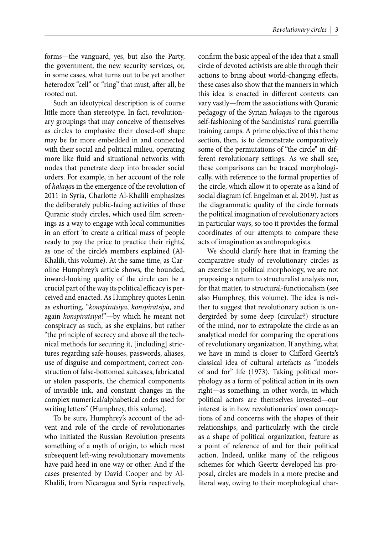forms—the vanguard, yes, but also the Party, the government, the new security services, or, in some cases, what turns out to be yet another heterodox "cell" or "ring" that must, after all, be rooted out.

Such an ideotypical description is of course little more than stereotype. In fact, revolutionary groupings that may conceive of themselves as circles to emphasize their closed-off shape may be far more embedded in and connected with their social and political milieu, operating more like fluid and situational networks with nodes that penetrate deep into broader social orders. For example, in her account of the role of *halaqa*s in the emergence of the revolution of 2011 in Syria, Charlotte Al-Khalili emphasizes the deliberately public-facing activities of these Quranic study circles, which used film screenings as a way to engage with local communities in an effort 'to create a critical mass of people ready to pay the price to practice their rights', as one of the circle's members explained (Al-Khalili, this volume). At the same time, as Caroline Humphrey's article shows, the bounded, inward-looking quality of the circle can be a crucial part of the way its political efficacy is perceived and enacted. As Humphrey quotes Lenin as exhorting, "*konspiratsiya*, *konspiratsiya*, and again *konspiratsiya*!"—by which he meant not conspiracy as such, as she explains, but rather "the principle of secrecy and above all the technical methods for securing it, [including] strictures regarding safe-houses, passwords, aliases, use of disguise and comportment, correct construction of false-bottomed suitcases, fabricated or stolen passports, the chemical components of invisible ink, and constant changes in the complex numerical/alphabetical codes used for writing letters" (Humphrey, this volume).

To be sure, Humphrey's account of the advent and role of the circle of revolutionaries who initiated the Russian Revolution presents something of a myth of origin, to which most subsequent left-wing revolutionary movements have paid heed in one way or other. And if the cases presented by David Cooper and by Al-Khalili, from Nicaragua and Syria respectively,

confirm the basic appeal of the idea that a small circle of devoted activists are able through their actions to bring about world-changing effects, these cases also show that the manners in which this idea is enacted in different contexts can vary vastly—from the associations with Quranic pedagogy of the Syrian *halaqa*s to the rigorous self-fashioning of the Sandinistas' rural guerrilla training camps. A prime objective of this theme section, then, is to demonstrate comparatively some of the permutations of "the circle" in different revolutionary settings. As we shall see, these comparisons can be traced morphologically, with reference to the formal properties of the circle, which allow it to operate as a kind of social diagram (cf. Engelman et al. 2019). Just as the diagrammatic quality of the circle formats the political imagination of revolutionary actors in particular ways, so too it provides the formal coordinates of our attempts to compare these acts of imagination as anthropologists.

We should clarify here that in framing the comparative study of revolutionary circles as an exercise in political morphology, we are not proposing a return to structuralist analysis nor, for that matter, to structural-functionalism (see also Humphrey, this volume). The idea is neither to suggest that revolutionary action is undergirded by some deep (circular?) structure of the mind, nor to extrapolate the circle as an analytical model for comparing the operations of revolutionary organization. If anything, what we have in mind is closer to Clifford Geertz's classical idea of cultural artefacts as "models of and for" life (1973). Taking political morphology as a form of political action in its own right—as something, in other words, in which political actors are themselves invested—our interest is in how revolutionaries' own conceptions of and concerns with the shapes of their relationships, and particularly with the circle as a shape of political organization, feature as a point of reference of and for their political action. Indeed, unlike many of the religious schemes for which Geertz developed his proposal, circles are models in a more precise and literal way, owing to their morphological char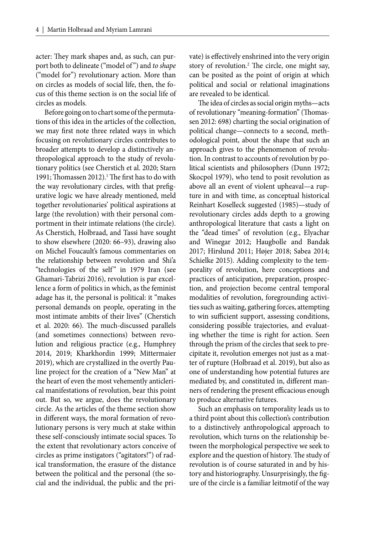acter: They mark shapes and, as such, can purport both to delineate ("model of ") and *to shape*  ("model for") revolutionary action. More than on circles as models of social life, then, the focus of this theme section is on the social life of circles as models.

Before going on to chart some of the permutations of this idea in the articles of the collection, we may first note three related ways in which focusing on revolutionary circles contributes to broader attempts to develop a distinctively anthropological approach to the study of revolutionary politics (see Cherstich et al. 2020; Starn 1991; Thomassen 2012).<sup>1</sup> The first has to do with the way revolutionary circles, with that prefigurative logic we have already mentioned, meld together revolutionaries' political aspirations at large (the revolution) with their personal comportment in their intimate relations (the circle). As Cherstich, Holbraad, and Tassi have sought to show elsewhere (2020: 66–93), drawing also on Michel Foucault's famous commentaries on the relationship between revolution and Shi'a "technologies of the self" in 1979 Iran (see Ghamari-Tabrizi 2016), revolution is par excellence a form of politics in which, as the feminist adage has it, the personal is political: it "makes personal demands on people, operating in the most intimate ambits of their lives" (Cherstich et al. 2020: 66). The much-discussed parallels (and sometimes connections) between revolution and religious practice (e.g., Humphrey 2014, 2019; Kharkhordin 1999; Mittermaier 2019), which are crystallized in the overtly Pauline project for the creation of a "New Man" at the heart of even the most vehemently anticlerical manifestations of revolution, bear this point out. But so, we argue, does the revolutionary circle. As the articles of the theme section show in different ways, the moral formation of revolutionary persons is very much at stake within these self-consciously intimate social spaces. To the extent that revolutionary actors conceive of circles as prime instigators ("agitators!") of radical transformation, the erasure of the distance between the political and the personal (the social and the individual, the public and the private) is effectively enshrined into the very origin story of revolution.<sup>2</sup> The circle, one might say, can be posited as the point of origin at which political and social or relational imaginations are revealed to be identical.

The idea of circles as social origin myths—acts of revolutionary "meaning-formation" (Thomassen 2012: 698) charting the social origination of political change—connects to a second, methodological point, about the shape that such an approach gives to the phenomenon of revolution. In contrast to accounts of revolution by political scientists and philosophers (Dunn 1972; Skocpol 1979), who tend to posit revolution as above all an event of violent upheaval—a rupture in and with time, as conceptual historical Reinhart Koselleck suggested (1985)—study of revolutionary circles adds depth to a growing anthropological literature that casts a light on the "dead times" of revolution (e.g., Elyachar and Winegar 2012; Haugbolle and Bandak 2017; Hirslund 2011; Højer 2018; Sabea 2014; Schielke 2015). Adding complexity to the temporality of revolution, here conceptions and practices of anticipation, preparation, prospection, and projection become central temporal modalities of revolution, foregrounding activities such as waiting, gathering forces, attempting to win sufficient support, assessing conditions, considering possible trajectories, and evaluating whether the time is right for action. Seen through the prism of the circles that seek to precipitate it, revolution emerges not just as a matter of rupture (Holbraad et al. 2019), but also as one of understanding how potential futures are mediated by, and constituted in, different manners of rendering the present efficacious enough to produce alternative futures.

Such an emphasis on temporality leads us to a third point about this collection's contribution to a distinctively anthropological approach to revolution, which turns on the relationship between the morphological perspective we seek to explore and the question of history. The study of revolution is of course saturated in and by history and historiography. Unsurprisingly, the figure of the circle is a familiar leitmotif of the way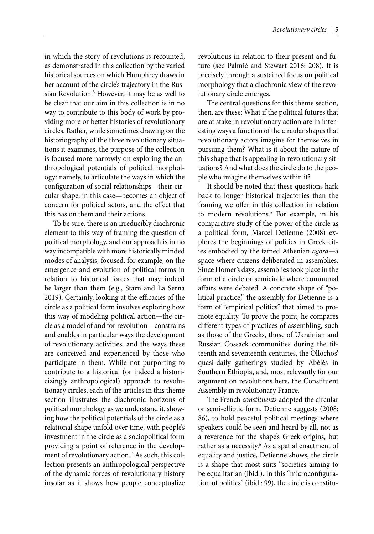in which the story of revolutions is recounted, as demonstrated in this collection by the varied historical sources on which Humphrey draws in her account of the circle's trajectory in the Russian Revolution.<sup>3</sup> However, it may be as well to be clear that our aim in this collection is in no way to contribute to this body of work by providing more or better histories of revolutionary circles. Rather, while sometimes drawing on the historiography of the three revolutionary situations it examines, the purpose of the collection is focused more narrowly on exploring the anthropological potentials of political morphology: namely, to articulate the ways in which the configuration of social relationships—their circular shape, in this case—becomes an object of concern for political actors, and the effect that this has on them and their actions.

To be sure, there is an irreducibly diachronic element to this way of framing the question of political morphology, and our approach is in no way incompatible with more historically minded modes of analysis, focused, for example, on the emergence and evolution of political forms in relation to historical forces that may indeed be larger than them (e.g., Starn and La Serna 2019). Certainly, looking at the efficacies of the circle as a political form involves exploring how this way of modeling political action—the circle as a model of and for revolution—constrains and enables in particular ways the development of revolutionary activities, and the ways these are conceived and experienced by those who participate in them. While not purporting to contribute to a historical (or indeed a historicizingly anthropological) approach to revolutionary circles, each of the articles in this theme section illustrates the diachronic horizons of political morphology as we understand it, showing how the political potentials of the circle as a relational shape unfold over time, with people's investment in the circle as a sociopolitical form providing a point of reference in the development of revolutionary action.<sup>4</sup> As such, this collection presents an anthropological perspective of the dynamic forces of revolutionary history insofar as it shows how people conceptualize revolutions in relation to their present and future (see Palmié and Stewart 2016: 208). It is precisely through a sustained focus on political morphology that a diachronic view of the revolutionary circle emerges.

The central questions for this theme section, then, are these: What if the political futures that are at stake in revolutionary action are in interesting ways a function of the circular shapes that revolutionary actors imagine for themselves in pursuing them? What is it about the nature of this shape that is appealing in revolutionary situations? And what does the circle do to the people who imagine themselves within it?

It should be noted that these questions hark back to longer historical trajectories than the framing we offer in this collection in relation to modern revolutions.<sup>5</sup> For example, in his comparative study of the power of the circle as a political form, Marcel Detienne (2008) explores the beginnings of politics in Greek cities embodied by the famed Athenian *agora—*a space where citizens deliberated in assemblies. Since Homer's days, assemblies took place in the form of a circle or semicircle where communal affairs were debated. A concrete shape of "political practice," the assembly for Detienne is a form of "empirical politics" that aimed to promote equality. To prove the point, he compares different types of practices of assembling, such as those of the Greeks, those of Ukrainian and Russian Cossack communities during the fifteenth and seventeenth centuries, the Ollochos' quasi-daily gatherings studied by Abélès in Southern Ethiopia, and, most relevantly for our argument on revolutions here, the Constituent Assembly in revolutionary France.

The French *constituents* adopted the circular or semi-elliptic form, Detienne suggests (2008: 86), to hold peaceful political meetings where speakers could be seen and heard by all, not as a reverence for the shape's Greek origins, but rather as a necessity.<sup>6</sup> As a spatial enactment of equality and justice, Detienne shows, the circle is a shape that most suits "societies aiming to be equalitarian (ibid.). In this "microconfiguration of politics" (ibid.: 99), the circle is constitu-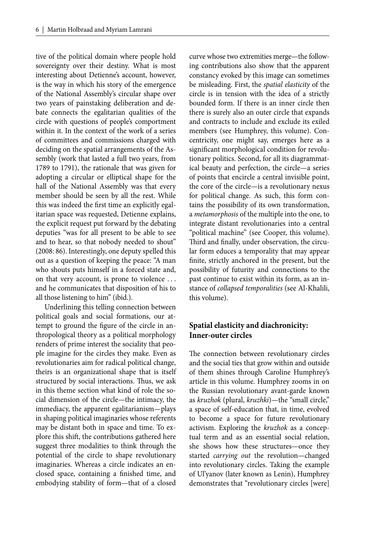tive of the political domain where people hold sovereignty over their destiny. What is most interesting about Detienne's account, however, is the way in which his story of the emergence of the National Assembly's circular shape over two years of painstaking deliberation and debate connects the egalitarian qualities of the circle with questions of people's comportment within it. In the context of the work of a series of committees and commissions charged with deciding on the spatial arrangements of the Assembly (work that lasted a full two years, from 1789 to 1791), the rationale that was given for adopting a circular or elliptical shape for the hall of the National Assembly was that every member should be seen by all the rest. While this was indeed the first time an explicitly egalitarian space was requested, Detienne explains, the explicit request put forward by the debating deputies "was for all present to be able to see and to hear, so that nobody needed to shout" (2008: 86). Interestingly, one deputy spelled this out as a question of keeping the peace: "A man who shouts puts himself in a forced state and, on that very account, is prone to violence . . . and he communicates that disposition of his to all those listening to him" (ibid.).

Underlining this telling connection between political goals and social formations, our attempt to ground the figure of the circle in anthropological theory as a political morphology renders of prime interest the sociality that people imagine for the circles they make. Even as revolutionaries aim for radical political change, theirs is an organizational shape that is itself structured by social interactions. Thus, we ask in this theme section what kind of role the social dimension of the circle—the intimacy, the immediacy, the apparent egalitarianism—plays in shaping political imaginaries whose referents may be distant both in space and time. To explore this shift, the contributions gathered here suggest three modalities to think through the potential of the circle to shape revolutionary imaginaries. Whereas a circle indicates an enclosed space, containing a finished time, and embodying stability of form—that of a closed

curve whose two extremities merge—the following contributions also show that the apparent constancy evoked by this image can sometimes be misleading. First, the *spatial elasticity* of the circle is in tension with the idea of a strictly bounded form. If there is an inner circle then there is surely also an outer circle that expands and contracts to include and exclude its exiled members (see Humphrey, this volume). Concentricity, one might say, emerges here as a significant morphological condition for revolutionary politics. Second, for all its diagrammatical beauty and perfection, the circle—a series of points that encircle a central invisible point, the core of the circle—is a revolutionary nexus for political change. As such, this form contains the possibility of its own transformation, a *metamorphosis* of the multiple into the one, to integrate distant revolutionaries into a central "political machine" (see Cooper, this volume). Third and finally, under observation, the circular form educes a temporality that may appear finite, strictly anchored in the present, but the possibility of futurity and connections to the past continue to exist within its form, as an instance of *collapsed temporalities* (see Al-Khalili, this volume).

# **Spatial elasticity and diachronicity: Inner-outer circles**

The connection between revolutionary circles and the social ties that grow within and outside of them shines through Caroline Humphrey's article in this volume. Humphrey zooms in on the Russian revolutionary avant-garde known as *kruzhok* (plural, *kruzhki*)—the "small circle," a space of self-education that, in time, evolved to become a space for future revolutionary activism. Exploring the *kruzhok* as a conceptual term and as an essential social relation, she shows how these structures—once they started *carrying out* the revolution—changed into revolutionary circles. Taking the example of Ul'yanov (later known as Lenin), Humphrey demonstrates that "revolutionary circles [were]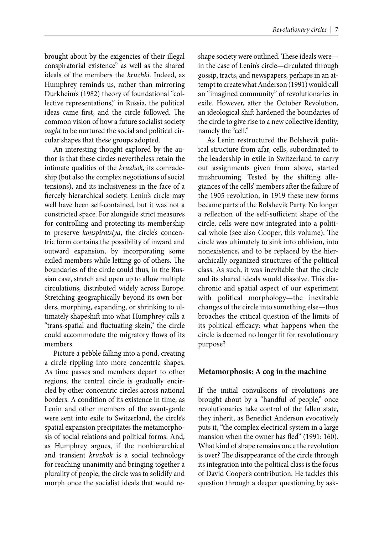brought about by the exigencies of their illegal conspiratorial existence" as well as the shared ideals of the members the *kruzhki*. Indeed, as Humphrey reminds us, rather than mirroring Durkheim's (1982) theory of foundational "collective representations," in Russia, the political ideas came first, and the circle followed. The common vision of how a future socialist society *ought* to be nurtured the social and political circular shapes that these groups adopted.

An interesting thought explored by the author is that these circles nevertheless retain the intimate qualities of the *kruzhok*, its comradeship (but also the complex negotiations of social tensions), and its inclusiveness in the face of a fiercely hierarchical society. Lenin's circle may well have been self-contained, but it was not a constricted space. For alongside strict measures for controlling and protecting its membership to preserve *konspiratsiya*, the circle's concentric form contains the possibility of inward and outward expansion, by incorporating some exiled members while letting go of others. The boundaries of the circle could thus, in the Russian case, stretch and open up to allow multiple circulations, distributed widely across Europe. Stretching geographically beyond its own borders, morphing, expanding, or shrinking to ultimately shapeshift into what Humphrey calls a "trans-spatial and fluctuating skein," the circle could accommodate the migratory flows of its members.

Picture a pebble falling into a pond, creating a circle rippling into more concentric shapes. As time passes and members depart to other regions, the central circle is gradually encircled by other concentric circles across national borders. A condition of its existence in time, as Lenin and other members of the avant-garde were sent into exile to Switzerland, the circle's spatial expansion precipitates the metamorphosis of social relations and political forms. And, as Humphrey argues, if the nonhierarchical and transient *kruzhok* is a social technology for reaching unanimity and bringing together a plurality of people, the circle was to solidify and morph once the socialist ideals that would reshape society were outlined. These ideals werein the case of Lenin's circle—circulated through gossip, tracts, and newspapers, perhaps in an attempt to create what Anderson (1991) would call an "imagined community" of revolutionaries in exile. However, after the October Revolution, an ideological shift hardened the boundaries of the circle to give rise to a new collective identity, namely the "cell."

As Lenin restructured the Bolshevik political structure from afar, cells, subordinated to the leadership in exile in Switzerland to carry out assignments given from above, started mushrooming. Tested by the shifting allegiances of the cells' members after the failure of the 1905 revolution, in 1919 these new forms became parts of the Bolshevik Party. No longer a reflection of the self-sufficient shape of the circle, cells were now integrated into a political whole (see also Cooper, this volume). The circle was ultimately to sink into oblivion, into nonexistence, and to be replaced by the hierarchically organized structures of the political class. As such, it was inevitable that the circle and its shared ideals would dissolve. This diachronic and spatial aspect of our experiment with political morphology—the inevitable changes of the circle into something else—thus broaches the critical question of the limits of its political efficacy: what happens when the circle is deemed no longer fit for revolutionary purpose?

### **Metamorphosis: A cog in the machine**

If the initial convulsions of revolutions are brought about by a "handful of people," once revolutionaries take control of the fallen state, they inherit, as Benedict Anderson evocatively puts it, "the complex electrical system in a large mansion when the owner has fled" (1991: 160). What kind of shape remains once the revolution is over? The disappearance of the circle through its integration into the political class is the focus of David Cooper's contribution. He tackles this question through a deeper questioning by ask-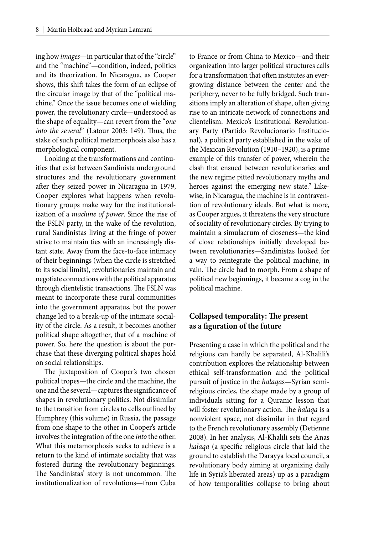ing how *images*—in particular that of the "circle" and the "machine"—condition, indeed, politics and its theorization. In Nicaragua, as Cooper shows, this shift takes the form of an eclipse of the circular image by that of the "political machine." Once the issue becomes one of wielding power, the revolutionary circle—understood as the shape of equality—can revert from the "*one into the several*" (Latour 2003: 149). Thus, the stake of such political metamorphosis also has a morphological component.

Looking at the transformations and continuities that exist between Sandinista underground structures and the revolutionary government after they seized power in Nicaragua in 1979, Cooper explores what happens when revolutionary groups make way for the institutionalization of a *machine of power*. Since the rise of the FSLN party, in the wake of the revolution, rural Sandinistas living at the fringe of power strive to maintain ties with an increasingly distant state. Away from the face-to-face intimacy of their beginnings (when the circle is stretched to its social limits), revolutionaries maintain and negotiate connections with the political apparatus through clientelistic transactions. The FSLN was meant to incorporate these rural communities into the government apparatus, but the power change led to a break-up of the intimate sociality of the circle. As a result, it becomes another political shape altogether, that of a machine of power. So, here the question is about the purchase that these diverging political shapes hold on social relationships.

The juxtaposition of Cooper's two chosen political tropes—the circle and the machine, the one and the several—captures the significance of shapes in revolutionary politics. Not dissimilar to the transition from circles to cells outlined by Humphrey (this volume) in Russia, the passage from one shape to the other in Cooper's article involves the integration of the one *into* the other. What this metamorphosis seeks to achieve is a return to the kind of intimate sociality that was fostered during the revolutionary beginnings. The Sandinistas' story is not uncommon. The institutionalization of revolutions—from Cuba

to France or from China to Mexico—and their organization into larger political structures calls for a transformation that often institutes an evergrowing distance between the center and the periphery, never to be fully bridged. Such transitions imply an alteration of shape, often giving rise to an intricate network of connections and clientelism. Mexico's Institutional Revolutionary Party (Partido Revolucionario Institucional), a political party established in the wake of the Mexican Revolution (1910–1920), is a prime example of this transfer of power, wherein the clash that ensued between revolutionaries and the new regime pitted revolutionary myths and heroes against the emerging new state.<sup>7</sup> Likewise, in Nicaragua, the machine is in contravention of revolutionary ideals. But what is more, as Cooper argues, it threatens the very structure of sociality of revolutionary circles. By trying to maintain a simulacrum of closeness—the kind of close relationships initially developed between revolutionaries—Sandinistas looked for a way to reintegrate the political machine, in vain. The circle had to morph. From a shape of political new beginnings, it became a cog in the political machine.

## **Collapsed temporality: The present** as a figuration of the future

Presenting a case in which the political and the religious can hardly be separated, Al-Khalili's contribution explores the relationship between ethical self-transformation and the political pursuit of justice in the *halaqa*s—Syrian semireligious circles, the shape made by a group of individuals sitting for a Quranic lesson that will foster revolutionary action. The *halaqa* is a nonviolent space, not dissimilar in that regard to the French revolutionary assembly (Detienne 2008). In her analysis, Al-Khalili sets the Anas *halaqa* (a specific religious circle that laid the ground to establish the Darayya local council, a revolutionary body aiming at organizing daily life in Syria's liberated areas) up as a paradigm of how temporalities collapse to bring about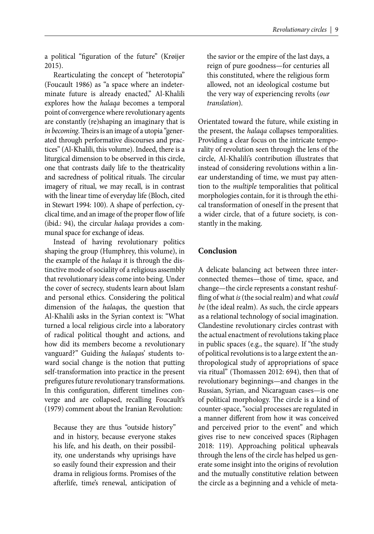a political "figuration of the future" (Krøijer 2015).

Rearticulating the concept of "heterotopia" (Foucault 1986) as "a space where an indeterminate future is already enacted," Al-Khalili explores how the *halaqa* becomes a temporal point of convergence where revolutionary agents are constantly (re)shaping an imaginary that is *in becoming*. Theirs is an image of a utopia "generated through performative discourses and practices" (Al-Khalili, this volume). Indeed, there is a liturgical dimension to be observed in this circle, one that contrasts daily life to the theatricality and sacredness of political rituals. The circular imagery of ritual, we may recall, is in contrast with the linear time of everyday life (Bloch, cited in Stewart 1994: 100). A shape of perfection, cyclical time, and an image of the proper flow of life (ibid.: 94), the circular *halaqa* provides a communal space for exchange of ideas.

Instead of having revolutionary politics shaping the group (Humphrey, this volume), in the example of the *halaqa* it is through the distinctive mode of sociality of a religious assembly that revolutionary ideas come into being. Under the cover of secrecy, students learn about Islam and personal ethics. Considering the political dimension of the *halaqa*s, the question that Al-Khalili asks in the Syrian context is: "What turned a local religious circle into a laboratory of radical political thought and actions, and how did its members become a revolutionary vanguard?" Guiding the *halaqa*s' students toward social change is the notion that putting self-transformation into practice in the present prefigures future revolutionary transformations. In this configuration, different timelines converge and are collapsed, recalling Foucault's (1979) comment about the Iranian Revolution:

Because they are thus "outside history" and in history, because everyone stakes his life, and his death, on their possibility, one understands why uprisings have so easily found their expression and their drama in religious forms. Promises of the afterlife, time's renewal, anticipation of

the savior or the empire of the last days, a reign of pure goodness—for centuries all this constituted, where the religious form allowed, not an ideological costume but the very way of experiencing revolts (*our translation*).

Orientated toward the future, while existing in the present, the *halaqa* collapses temporalities. Providing a clear focus on the intricate temporality of revolution seen through the lens of the circle, Al-Khalili's contribution illustrates that instead of considering revolutions within a linear understanding of time, we must pay attention to the *multiple* temporalities that political morphologies contain, for it is through the ethical transformation of oneself in the present that a wider circle, that of a future society, is constantly in the making.

# **Conclusion**

A delicate balancing act between three interconnected themes—those of time, space, and change—the circle represents a constant reshuffling of what *is* (the social realm) and what *could be* (the ideal realm). As such, the circle appears as a relational technology of social imagination. Clandestine revolutionary circles contrast with the actual enactment of revolutions taking place in public spaces (e.g., the square). If "the study of political revolutions is to a large extent the anthropological study of appropriations of space via ritual" (Thomassen 2012: 694), then that of revolutionary beginnings—and changes in the Russian, Syrian, and Nicaraguan cases—is one of political morphology. The circle is a kind of counter-space, "social processes are regulated in a manner different from how it was conceived and perceived prior to the event" and which gives rise to new conceived spaces (Riphagen 2018: 119). Approaching political upheavals through the lens of the circle has helped us generate some insight into the origins of revolution and the mutually constitutive relation between the circle as a beginning and a vehicle of meta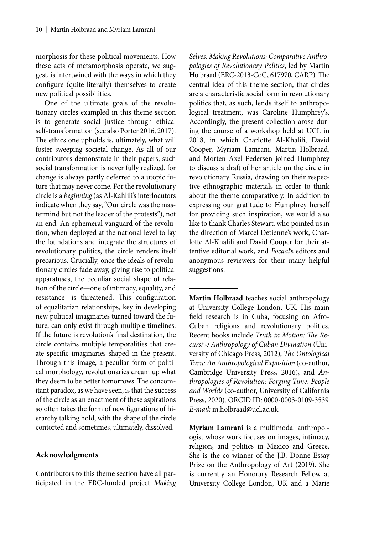morphosis for these political movements. How these acts of metamorphosis operate, we suggest, is intertwined with the ways in which they configure (quite literally) themselves to create new political possibilities.

One of the ultimate goals of the revolutionary circles exampled in this theme section is to generate social justice through ethical self-transformation (see also Porter 2016, 2017). The ethics one upholds is, ultimately, what will foster sweeping societal change. As all of our contributors demonstrate in their papers, such social transformation is never fully realized, for change is always partly deferred to a utopic future that may never come. For the revolutionary circle is a *beginning* (as Al-Kahlili's interlocutors indicate when they say, "Our circle was the mastermind but not the leader of the protests"), not an end. An ephemeral vanguard of the revolution, when deployed at the national level to lay the foundations and integrate the structures of revolutionary politics, the circle renders itself precarious. Crucially, once the ideals of revolutionary circles fade away, giving rise to political apparatuses, the peculiar social shape of relation of the circle—one of intimacy, equality, and resistance—is threatened. This configuration of equalitarian relationships, key in developing new political imaginaries turned toward the future, can only exist through multiple timelines. If the future is revolution's final destination, the circle contains multiple temporalities that create specific imaginaries shaped in the present. Through this image, a peculiar form of political morphology, revolutionaries dream up what they deem to be better tomorrows. The concomitant paradox, as we have seen, is that the success of the circle as an enactment of these aspirations so often takes the form of new figurations of hierarchy talking hold, with the shape of the circle contorted and sometimes, ultimately, dissolved.

### **Acknowledgments**

Contributors to this theme section have all participated in the ERC-funded project *Making*  *Selves, Making Revolutions: Comparative Anthropologies of Revolutionary Politics*, led by Martin Holbraad (ERC-2013-CoG, 617970, CARP). The central idea of this theme section, that circles are a characteristic social form in revolutionary politics that, as such, lends itself to anthropological treatment, was Caroline Humphrey's. Accordingly, the present collection arose during the course of a workshop held at UCL in 2018, in which Charlotte Al-Khalili, David Cooper, Myriam Lamrani, Martin Holbraad, and Morten Axel Pedersen joined Humphrey to discuss a draft of her article on the circle in revolutionary Russia, drawing on their respective ethnographic materials in order to think about the theme comparatively. In addition to expressing our gratitude to Humphrey herself for providing such inspiration, we would also like to thank Charles Stewart, who pointed us in the direction of Marcel Detienne's work, Charlotte Al-Khalili and David Cooper for their attentive editorial work, and *Focaal*'s editors and anonymous reviewers for their many helpful suggestions.

**Martin Holbraad** teaches social anthropology at University College London, UK. His main field research is in Cuba, focusing on Afro-Cuban religions and revolutionary politics. Recent books include Truth in Motion: The Re*cursive Anthropology of Cuban Divination* (University of Chicago Press, 2012), *The Ontological Turn: An Anthropological Exposition* (co-author, Cambridge University Press, 2016), and *Anthropologies of Revolution: Forging Time, People and Worlds* (co-author, University of California Press, 2020). ORCID ID: 0000-0003-0109-3539 *E-mail:* m.holbraad@ucl.ac.uk

**Myriam Lamrani** is a multimodal anthropologist whose work focuses on images, intimacy, religion, and politics in Mexico and Greece. She is the co-winner of the J.B. Donne Essay Prize on the Anthropology of Art (2019). She is currently an Honorary Research Fellow at University College London, UK and a Marie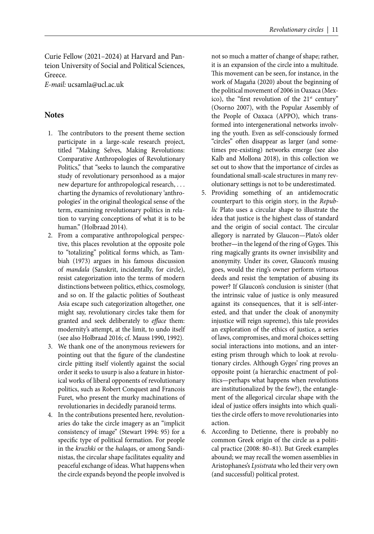Curie Fellow (2021–2024) at Harvard and Panteion University of Social and Political Sciences, Greece. *E-mail:* ucsamla@ucl.ac.uk

### **Notes**

- 1. The contributors to the present theme section participate in a large-scale research project, titled "Making Selves, Making Revolutions: Comparative Anthropologies of Revolutionary Politics," that "seeks to launch the comparative study of revolutionary personhood as a major new departure for anthropological research, . . . charting the dynamics of revolutionary 'anthropologies' in the original theological sense of the term, examining revolutionary politics in relation to varying conceptions of what it is to be human." (Holbraad 2014).
- 2. From a comparative anthropological perspective, this places revolution at the opposite pole to "totalizing" political forms which, as Tambiah (1973) argues in his famous discussion of *mandala* (Sanskrit, incidentally, for circle), resist categorization into the terms of modern distinctions between politics, ethics, cosmology, and so on. If the galactic polities of Southeast Asia escape such categorization altogether, one might say, revolutionary circles take them for granted and seek deliberately to *efface* them: modernity's attempt, at the limit, to undo itself (see also Holbraad 2016; cf. Mauss 1990, 1992).
- 3. We thank one of the anonymous reviewers for pointing out that the figure of the clandestine circle pitting itself violently against the social order it seeks to usurp is also a feature in historical works of liberal opponents of revolutionary politics, such as Robert Conquest and Francois Furet, who present the murky machinations of revolutionaries in decidedly paranoid terms.
- 4. In the contributions presented here, revolutionaries do take the circle imagery as an "implicit consistency of image" (Stewart 1994: 95) for a specific type of political formation. For people in the *kruzhki* or the *halaqa*s, or among Sandinistas, the circular shape facilitates equality and peaceful exchange of ideas. What happens when the circle expands beyond the people involved is

not so much a matter of change of shape; rather, it is an expansion of the circle into a multitude. This movement can be seen, for instance, in the work of Magaña (2020) about the beginning of the political movement of 2006 in Oaxaca (Mexico), the "first revolution of the 21<sup>st</sup> century" (Osorno 2007), with the Popular Assembly of the People of Oaxaca (APPO), which transformed into intergenerational networks involving the youth. Even as self-consciously formed "circles" often disappear as larger (and sometimes pre-existing) networks emerge (see also Kalb and Mollona 2018), in this collection we set out to show that the importance of circles as foundational small-scale structures in many revolutionary settings is not to be underestimated.

- 5. Providing something of an antidemocratic counterpart to this origin story, in the *Republic* Plato uses a circular shape to illustrate the idea that justice is the highest class of standard and the origin of social contact. The circular allegory is narrated by Glaucon—Plato's older brother—in the legend of the ring of Gyges. This ring magically grants its owner invisibility and anonymity. Under its cover, Glaucon's musing goes, would the ring's owner perform virtuous deeds and resist the temptation of abusing its power? If Glaucon's conclusion is sinister (that the intrinsic value of justice is only measured against its consequences, that it is self-interested, and that under the cloak of anonymity injustice will reign supreme), this tale provides an exploration of the ethics of justice, a series of laws, compromises, and moral choices setting social interactions into motions, and an interesting prism through which to look at revolutionary circles. Although Gyges' ring proves an opposite point (a hierarchic enactment of politics—perhaps what happens when revolutions are institutionalized by the few?), the entanglement of the allegorical circular shape with the ideal of justice offers insights into which qualities the circle offers to move revolutionaries into action.
- 6. According to Detienne, there is probably no common Greek origin of the circle as a political practice (2008: 80–81). But Greek examples abound; we may recall the women assemblies in Aristophanes's *Lysistrata* who led their very own (and successful) political protest.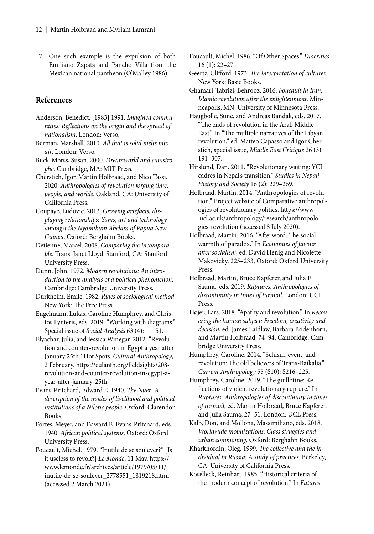7. One such example is the expulsion of both Emiliano Zapata and Pancho Villa from the Mexican national pantheon (O'Malley 1986).

## **References**

- Anderson, Benedict. [1983] 1991. *Imagined communities: Reflections on the origin and the spread of nationalism*. London: Verso.
- Berman, Marshall. 2010. *All that is solid melts into air*. London: Verso.

Buck-Morss, Susan. 2000. *Dreamworld and catastrophe*. Cambridge, MA: MIT Press.

- Cherstich, Igor, Martin Holbraad, and Nico Tassi. 2020. *Anthropologies of revolution forging time, people, and worlds*. Oakland, CA: University of California Press.
- Coupaye, Ludovic. 2013. *Growing artefacts, displaying relationships: Yams, art and technology amongst the Nyamikum Abelam of Papua New Guinea*. Oxford: Berghahn Books.
- Detienne, Marcel. 2008. *Comparing the incomparable*. Trans. Janet Lloyd. Stanford, CA: Stanford University Press.
- Dunn, John. 1972. *Modern revolutions: An introduction to the analysis of a political phenomenon*. Cambridge: Cambridge University Press.
- Durkheim, Emile. 1982. *Rules of sociological method*. New York: The Free Press.
- Engelmann, Lukas, Caroline Humphrey, and Christos Lynteris, eds. 2019. "Working with diagrams." Special issue of *Social Analysis* 63 (4): 1–151.
- Elyachar, Julia, and Jessica Winegar. 2012. "Revolution and counter-revolution in Egypt a year after January 25th." Hot Spots. *Cultural Anthropology*, 2 February. https://culanth.org/fieldsights/208revolution-and-counter-revolution-in-egypt-ayear-after-january-25th.
- Evans-Pritchard, Edward E. 1940. *The Nuer: A description of the modes of livelihood and political institutions of a Nilotic people*. Oxford: Clarendon Books.

Fortes, Meyer, and Edward E. Evans-Pritchard, eds. 1940. *African political systems*. Oxford: Oxford University Press.

Foucault, Michel. 1979. "Inutile de se soulever?" [Is it useless to revolt?] *Le Monde*, 11 May. https:// www.lemonde.fr/archives/article/1979/05/11/ inutile-de-se-soulever\_2778551\_1819218.html (accessed 2 March 2021).

- Foucault, Michel. 1986. "Of Other Spaces." *Diacritics* 16 (1): 22–27.
- Geertz, Clifford. 1973. *The interpretation of cultures*. New York: Basic Books.
- Ghamari-Tabrizi, Behrooz. 2016. *Foucault in Iran:*  Islamic revolution after the enlightenment. Minneapolis, MN: University of Minnesota Press.
- Haugbolle, Sune, and Andreas Bandak, eds. 2017. "The ends of revolution in the Arab Middle East." In "The multiple narratives of the Libyan revolution," ed. Matteo Capasso and Igor Cherstich, special issue, *Middle East Critique* 26 (3): 191–307.
- Hirslund, Dan. 2011. "Revolutionary waiting: YCL cadres in Nepal's transition." *Studies in Nepali History and Society* 16 (2): 229–269.
- Holbraad, Martin. 2014. "Anthropologies of revolution." Project website of Comparative anthropologies of revolutionary politics. https://www .ucl.ac.uk/anthropology/research/anthropolo gies-revolution (accessed 8 July 2020).
- Holbraad, Martin. 2016. "Afterword: The social warmth of paradox." In *Economies of favour*  after socialism, ed. David Henig and Nicolette Makovicky, 225–233, Oxford: Oxford University Press.
- Holbraad, Martin, Bruce Kapferer, and Julia F. Sauma, eds. 2019. *Ruptures: Anthropologies of discontinuity in times of turmoil*. London: UCL Press.
- Højer, Lars. 2018. "Apathy and revolution." In *Recovering the human subject: Freedom, creativity and decision*, ed. James Laidlaw, Barbara Bodenhorn, and Martin Holbraad, 74–94. Cambridge: Cambridge University Press.
- Humphrey, Caroline. 2014. "Schism, event, and revolution: The old believers of Trans-Baikalia." *Current Anthropology* 55 (S10): S216–225.
- Humphrey, Caroline. 2019. "The guillotine: Reflections of violent revolutionary rupture." In *Ruptures: Anthropologies of discontinuity in times of turmoil*, ed. Martin Holbraad, Bruce Kapferer, and Julia Sauma, 27–51. London: UCL Press.
- Kalb, Don, and Mollona, Massimiliano, eds. 2018. *Worldwide mobilizations: Class struggles and urban commoning*. Oxford: Berghahn Books.
- Kharkhordin, Oleg. 1999. The collective and the in*dividual in Russia: A study of practices*. Berkeley, CA: University of California Press.
- Koselleck, Reinhart. 1985. "Historical criteria of the modern concept of revolution." In *Futures*